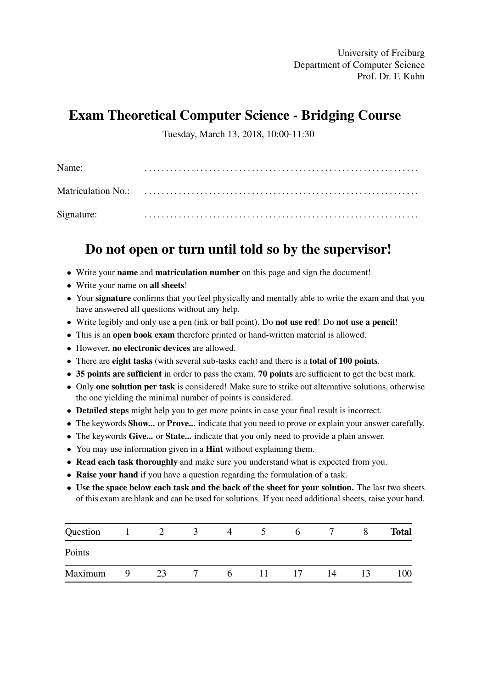University of Freiburg Department of Computer Science Prof. Dr. F. Kuhn

## Exam Theoretical Computer Science - Bridging Course

Tuesday, March 13, 2018, 10:00-11:30

| Name:      |  |
|------------|--|
|            |  |
| Signature: |  |

## Do not open or turn until told so by the supervisor!

- Write your name and matriculation number on this page and sign the document!
- Write your name on all sheets!
- Your signature confirms that you feel physically and mentally able to write the exam and that you have answered all questions without any help.
- Write legibly and only use a pen (ink or ball point). Do **not use red!** Do **not use a pencil!**
- This is an open book exam therefore printed or hand-written material is allowed.
- However, no electronic devices are allowed.
- There are eight tasks (with several sub-tasks each) and there is a total of 100 points.
- 35 points are sufficient in order to pass the exam. 70 points are sufficient to get the best mark.
- Only one solution per task is considered! Make sure to strike out alternative solutions, otherwise the one yielding the minimal number of points is considered.
- Detailed steps might help you to get more points in case your final result is incorrect.
- The keywords **Show...** or **Prove...** indicate that you need to prove or explain your answer carefully.
- The keywords Give... or State... indicate that you only need to provide a plain answer.
- You may use information given in a **Hint** without explaining them.
- Read each task thoroughly and make sure you understand what is expected from you.
- Raise your hand if you have a question regarding the formulation of a task.
- Use the space below each task and the back of the sheet for your solution. The last two sheets of this exam are blank and can be used for solutions. If you need additional sheets, raise your hand.

| Question |   |    | $\rightarrow$ | 4            |              | <sub>0</sub> |    | <b>Total</b> |
|----------|---|----|---------------|--------------|--------------|--------------|----|--------------|
| Points   |   |    |               |              |              |              |    |              |
| Maximum  | Q | 23 |               | <sub>t</sub> | $\mathbf{L}$ | 17           | 14 | 100          |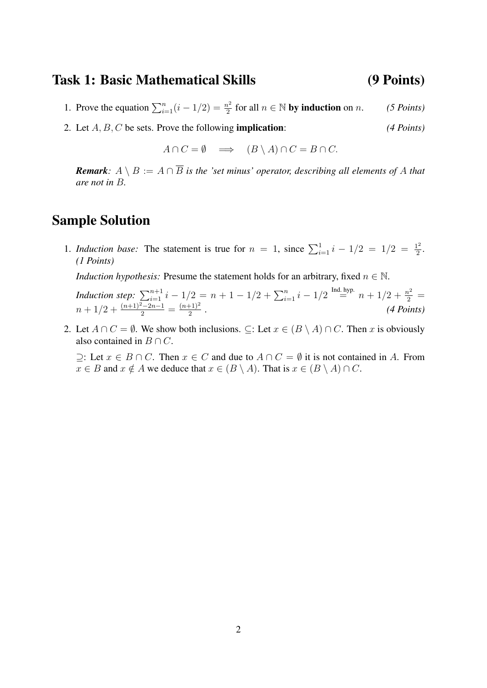### Task 1: Basic Mathematical Skills (9 Points)

1. Prove the equation  $\sum_{i=1}^{n} (i - 1/2) = \frac{n^2}{2}$  $\frac{n^2}{2}$  for all  $n \in \mathbb{N}$  by induction on *n*. *(5 Points)* 

2. Let A, B, C be sets. Prove the following implication: *(4 Points)*

$$
A \cap C = \emptyset \implies (B \setminus A) \cap C = B \cap C.
$$

*Remark:*  $A \setminus B := A \cap \overline{B}$  *is the 'set minus' operator, describing all elements of* A *that are not in* B*.*

### Sample Solution

1. *Induction base:* The statement is true for  $n = 1$ , since  $\sum_{i=1}^{1} i - 1/2 = 1/2 = \frac{1^2}{2}$  $rac{1^2}{2}$ . *(1 Points)*

*Induction hypothesis:* Presume the statement holds for an arbitrary, fixed  $n \in \mathbb{N}$ .

*Induction step:*  $\sum_{i=1}^{n+1} i - 1/2 = n + 1 - 1/2 + \sum_{i=1}^{n} i - 1/2$  <sup>Ind</sup>  $\stackrel{\text{Ind. hyp.}}{=} n + 1/2 + \frac{n^2}{2}$  $n + 1/2 + \frac{(n+1)^2 - 2n - 1}{2} = \frac{(n+1)^2}{2}$  $\frac{(4 \; Points)}{2}$ .

2. Let  $A \cap C = \emptyset$ . We show both inclusions.  $\subseteq$ : Let  $x \in (B \setminus A) \cap C$ . Then x is obviously also contained in  $B \cap C$ .

⊇: Let  $x \in B \cap C$ . Then  $x \in C$  and due to  $A \cap C = \emptyset$  it is not contained in A. From  $x \in B$  and  $x \notin A$  we deduce that  $x \in (B \setminus A)$ . That is  $x \in (B \setminus A) \cap C$ .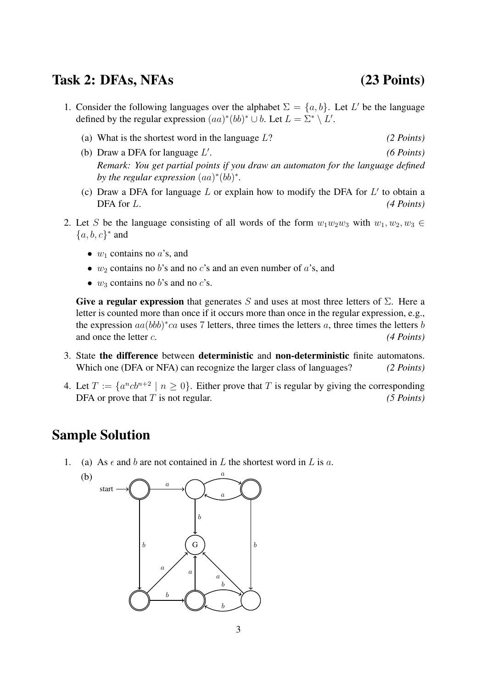### Task 2: DFAs, NFAs (23 Points)

- 1. Consider the following languages over the alphabet  $\Sigma = \{a, b\}$ . Let L' be the language defined by the regular expression  $(aa)^*(bb)^* \cup b$ . Let  $L = \Sigma^* \setminus L'$ .
	- (a) What is the shortest word in the language L? *(2 Points)* (b) Draw a DFA for language  $L'$ . *(6 Points)*
	- *Remark: You get partial points if you draw an automaton for the language defined* by the regular expression  $(aa)^*(bb)^*$ .
	- (c) Draw a DFA for language  $L$  or explain how to modify the DFA for  $L'$  to obtain a DFA for L. *(4 Points) (4 Points)*
- 2. Let S be the language consisting of all words of the form  $w_1w_2w_3$  with  $w_1, w_2, w_3 \in$  ${a, b, c}^*$  and
	- $w_1$  contains no  $a$ 's, and
	- $w_2$  contains no b's and no c's and an even number of a's, and
	- $w_3$  contains no b's and no c's.

Give a regular expression that generates S and uses at most three letters of  $\Sigma$ . Here a letter is counted more than once if it occurs more than once in the regular expression, e.g., the expression  $aa(bbb)^*ca$  uses 7 letters, three times the letters a, three times the letters b and once the letter *c*. *(4 Points)* 

- 3. State the difference between deterministic and non-deterministic finite automatons. Which one (DFA or NFA) can recognize the larger class of languages? *(2 Points)*
- 4. Let  $T := \{a^ncb^{n+2} \mid n \ge 0\}$ . Either prove that T is regular by giving the corresponding DFA or prove that T is not regular. *(5 Points)*

### Sample Solution

(b)

1. (a) As  $\epsilon$  and b are not contained in L the shortest word in L is a.

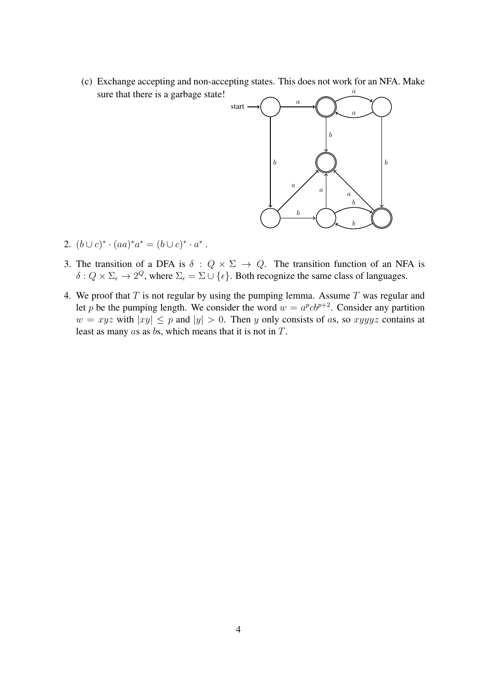(c) Exchange accepting and non-accepting states. This does not work for an NFA. Make sure that there is a garbage state! a



- 2.  $(b \cup c)^* \cdot (aa)^* a^* = (b \cup c)^* \cdot a^*$ .
- 3. The transition of a DFA is  $\delta: Q \times \Sigma \rightarrow Q$ . The transition function of an NFA is  $\delta: Q \times \Sigma_{\epsilon} \to 2^Q$ , where  $\Sigma_{\epsilon} = \Sigma \cup {\epsilon}$ . Both recognize the same class of languages.
- 4. We proof that  $T$  is not regular by using the pumping lemma. Assume  $T$  was regular and let p be the pumping length. We consider the word  $w = a^p c b^{p+2}$ . Consider any partition  $w = xyz$  with  $|xy| \leq p$  and  $|y| > 0$ . Then y only consists of as, so xyyyz contains at least as many as as bs, which means that it is not in T.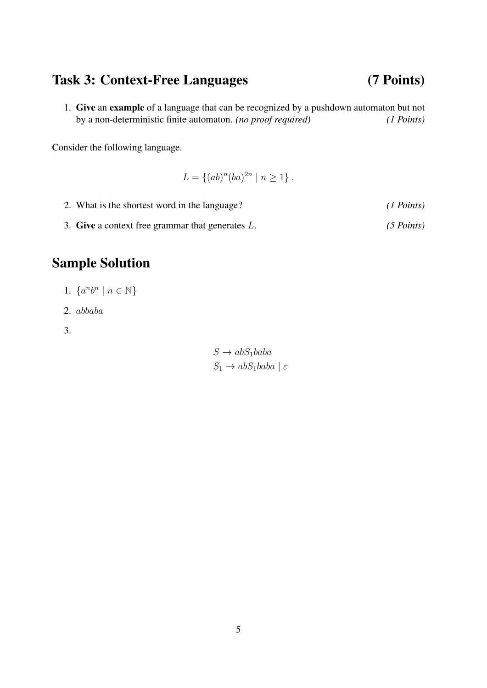## Task 3: Context-Free Languages (7 Points)

1. Give an example of a language that can be recognized by a pushdown automaton but not by a non-deterministic finite automaton. *(no proof required) (1 Points)*

Consider the following language.

$$
L = \{(ab)^n (ba)^{2n} \mid n \ge 1\}.
$$

- 2. What is the shortest word in the language? *(1 Points)*
- 3. Give a context free grammar that generates L. *(5 Points)*

## Sample Solution

- 1.  $\{a^nb^n \mid n \in \mathbb{N}\}\$
- 2. abbaba
- 3.

 $S \to abS_1baba$  $S_1 \rightarrow abS_1baba \mid \varepsilon$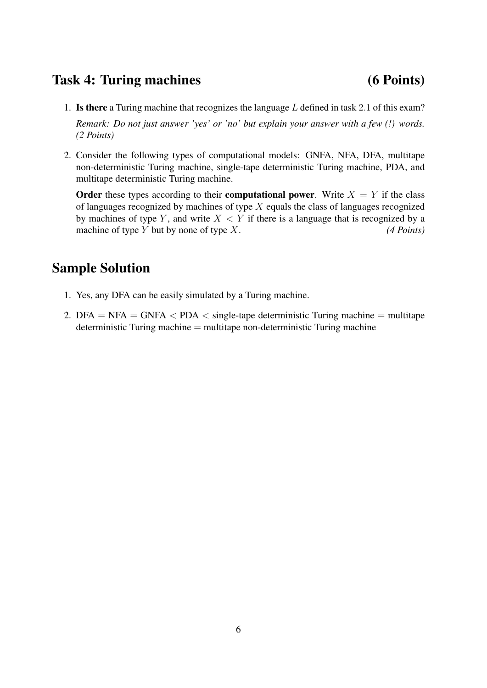## Task 4: Turing machines (6 Points)

- 1. Is there a Turing machine that recognizes the language  $L$  defined in task 2.1 of this exam? *Remark: Do not just answer 'yes' or 'no' but explain your answer with a few (!) words. (2 Points)*
- 2. Consider the following types of computational models: GNFA, NFA, DFA, multitape non-deterministic Turing machine, single-tape deterministic Turing machine, PDA, and multitape deterministic Turing machine.

Order these types according to their computational power. Write  $X = Y$  if the class of languages recognized by machines of type  $X$  equals the class of languages recognized by machines of type Y, and write  $X \leq Y$  if there is a language that is recognized by a machine of type Y but by none of type X. *(4 Points)* 

## Sample Solution

- 1. Yes, any DFA can be easily simulated by a Turing machine.
- 2. DFA = NFA = GNFA  $\langle$  PDA  $\langle$  single-tape deterministic Turing machine = multitape deterministic Turing machine = multitape non-deterministic Turing machine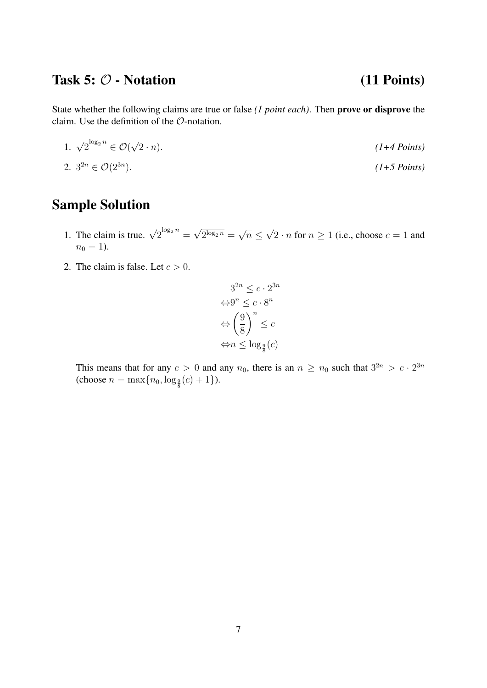## Task  $5: \mathcal{O}$  - Notation (11 Points)

State whether the following claims are true or false *(1 point each)*. Then prove or disprove the claim. Use the definition of the O-notation.

1.  $\sqrt{2}^{\log_2 n} \in \mathcal{O}(\mathbb{R})$ √ 2 · n). *(1+4 Points)*

$$
2. \ 3^{2n} \in \mathcal{O}(2^{3n}). \tag{1+5 Points}
$$

# Sample Solution

- 1. The claim is true.  $\sqrt{2}^{\log_2 n}$  = √  $2^{\log_2 n} =$ √  $\overline{n}\leq$ √ 2 · *n* for  $n \ge 1$  (i.e., choose  $c = 1$  and  $n_0 = 1$ ).
- 2. The claim is false. Let  $c > 0$ .

$$
3^{2n} \le c \cdot 2^{3n}
$$

$$
\Leftrightarrow 9^n \le c \cdot 8^n
$$

$$
\Leftrightarrow \left(\frac{9}{8}\right)^n \le c
$$

$$
\Leftrightarrow n \le \log_{\frac{9}{8}}(c)
$$

This means that for any  $c > 0$  and any  $n_0$ , there is an  $n \ge n_0$  such that  $3^{2n} > c \cdot 2^{3n}$ (choose  $n = \max\{n_0, \log_{\frac{9}{8}}(c) + 1\}$ ).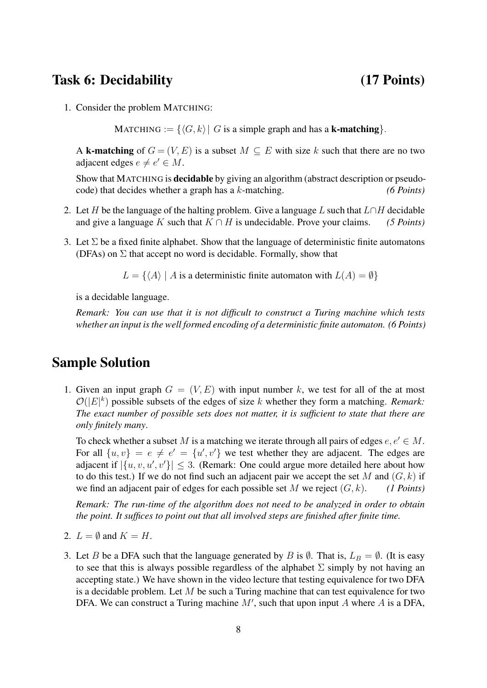### Task 6: Decidability (17 Points)

1. Consider the problem MATCHING:

MATCHING :=  $\{\langle G, k \rangle | G$  is a simple graph and has a **k-matching**.

A k-matching of  $G = (V, E)$  is a subset  $M \subseteq E$  with size k such that there are no two adjacent edges  $e \neq e' \in M$ .

Show that MATCHING is decidable by giving an algorithm (abstract description or pseudocode) that decides whether a graph has a k-matching. *(6 Points)*

- 2. Let H be the language of the halting problem. Give a language L such that  $L \cap H$  decidable and give a language K such that  $K \cap H$  is undecidable. Prove your claims. *(5 Points)*
- 3. Let  $\Sigma$  be a fixed finite alphabet. Show that the language of deterministic finite automatons (DFAs) on  $\Sigma$  that accept no word is decidable. Formally, show that

 $L = \{ \langle A \rangle | A$  is a deterministic finite automaton with  $L(A) = \emptyset \}$ 

is a decidable language.

*Remark: You can use that it is not difficult to construct a Turing machine which tests whether an input is the well formed encoding of a deterministic finite automaton. (6 Points)*

### Sample Solution

1. Given an input graph  $G = (V, E)$  with input number k, we test for all of the at most  $\mathcal{O}(|E|^k)$  possible subsets of the edges of size k whether they form a matching. *Remark: The exact number of possible sets does not matter, it is sufficient to state that there are only finitely many*.

To check whether a subset M is a matching we iterate through all pairs of edges  $e, e' \in M$ . For all  $\{u, v\} = e \neq e' = \{u', v'\}$  we test whether they are adjacent. The edges are adjacent if  $|\{u, v, u', v'\}| \leq 3$ . (Remark: One could argue more detailed here about how to do this test.) If we do not find such an adjacent pair we accept the set M and  $(G, k)$  if we find an adjacent pair of edges for each possible set M we reject  $(G, k)$ . *(1 Points)* 

*Remark: The run-time of the algorithm does not need to be analyzed in order to obtain the point. It suffices to point out that all involved steps are finished after finite time.*

- 2.  $L = \emptyset$  and  $K = H$ .
- 3. Let B be a DFA such that the language generated by B is  $\emptyset$ . That is,  $L_B = \emptyset$ . (It is easy to see that this is always possible regardless of the alphabet  $\Sigma$  simply by not having an accepting state.) We have shown in the video lecture that testing equivalence for two DFA is a decidable problem. Let  $M$  be such a Turing machine that can test equivalence for two DFA. We can construct a Turing machine  $M'$ , such that upon input A where A is a DFA,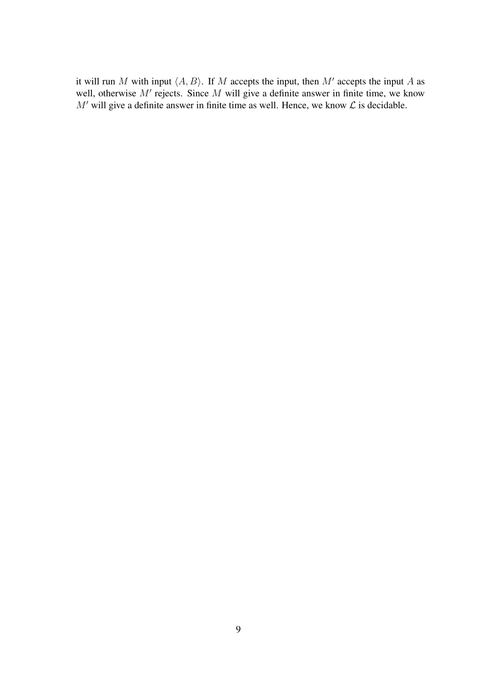it will run M with input  $\langle A, B \rangle$ . If M accepts the input, then M' accepts the input A as well, otherwise  $M'$  rejects. Since  $M$  will give a definite answer in finite time, we know  $M'$  will give a definite answer in finite time as well. Hence, we know  $\mathcal L$  is decidable.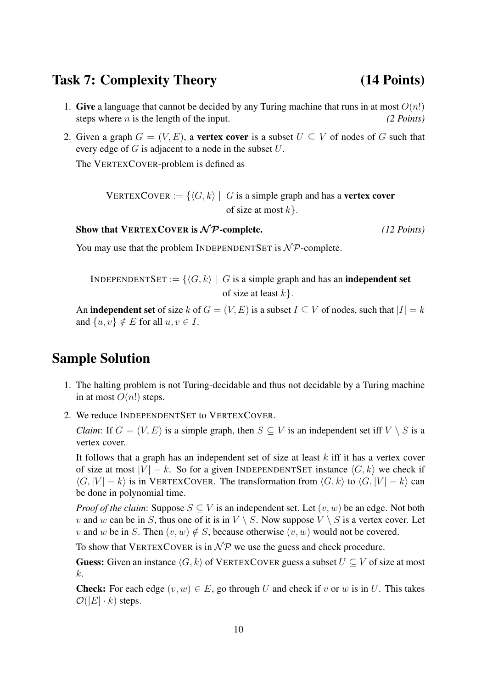### Task 7: Complexity Theory (14 Points)

- 1. Give a language that cannot be decided by any Turing machine that runs in at most  $O(n!)$ steps where *n* is the length of the input. *(2 Points)*
- 2. Given a graph  $G = (V, E)$ , a vertex cover is a subset  $U \subseteq V$  of nodes of G such that every edge of  $G$  is adjacent to a node in the subset  $U$ .

The VERTEXCOVER-problem is defined as

VERTEXCOVER :=  $\{\langle G, k \rangle \mid G$  is a simple graph and has a **vertex cover** of size at most  $k$ .

Show that VERTEXCOVER is  $\mathcal{NP}$ -complete. *(12 Points)* 

You may use that the problem INDEPENDENTSET is  $N \mathcal{P}$ -complete.

INDEPENDENTSET :=  $\{\langle G, k \rangle \mid G$  is a simple graph and has an **independent set** of size at least  $k$ .

An **independent set** of size k of  $G = (V, E)$  is a subset  $I \subseteq V$  of nodes, such that  $|I| = k$ and  $\{u, v\} \notin E$  for all  $u, v \in I$ .

### Sample Solution

- 1. The halting problem is not Turing-decidable and thus not decidable by a Turing machine in at most  $O(n!)$  steps.
- 2. We reduce INDEPENDENTSET to VERTEXCOVER.

*Claim*: If  $G = (V, E)$  is a simple graph, then  $S \subseteq V$  is an independent set iff  $V \setminus S$  is a vertex cover.

It follows that a graph has an independent set of size at least  $k$  iff it has a vertex cover of size at most  $|V| - k$ . So for a given INDEPENDENTSET instance  $\langle G, k \rangle$  we check if  $\langle G, |V| - k \rangle$  is in VERTEXCOVER. The transformation from  $\langle G, k \rangle$  to  $\langle G, |V| - k \rangle$  can be done in polynomial time.

*Proof of the claim*: Suppose  $S \subseteq V$  is an independent set. Let  $(v, w)$  be an edge. Not both v and w can be in S, thus one of it is in  $V \setminus S$ . Now suppose  $V \setminus S$  is a vertex cover. Let v and w be in S. Then  $(v, w) \notin S$ , because otherwise  $(v, w)$  would not be covered.

To show that VERTEXCOVER is in  $\mathcal{NP}$  we use the guess and check procedure.

**Guess:** Given an instance  $\langle G, k \rangle$  of VERTEXCOVER guess a subset  $U \subset V$  of size at most k.

**Check:** For each edge  $(v, w) \in E$ , go through U and check if v or w is in U. This takes  $\mathcal{O}(|E| \cdot k)$  steps.